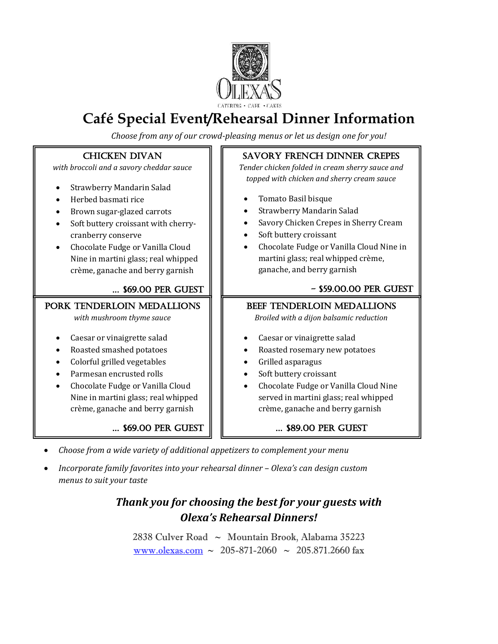

# **Café Special Event/Rehearsal Dinner Information**

*Choose from any of our crowd-pleasing menus or let us design one for you!*

#### • *Choose from a wide variety of additional appetizers to complement your menu* Chicken Divan *with broccoli and a savory cheddar sauce* • Strawberry Mandarin Salad • Herbed basmati rice • Brown sugar-glazed carrots • Soft buttery croissant with cherrycranberry conserve • Chocolate Fudge or Vanilla Cloud Nine in martini glass; real whipped crème, ganache and berry garnish … \$69.00 per guest Savory French Dinner Crepes *Tender chicken folded in cream sherry sauce and topped with chicken and sherry cream sauce* • Tomato Basil bisque • Strawberry Mandarin Salad • Savory Chicken Crepes in Sherry Cream • Soft buttery croissant • Chocolate Fudge or Vanilla Cloud Nine in martini glass; real whipped crème, ganache, and berry garnish - \$59.00.00 per guest Pork Tenderloin Medallions *with mushroom thyme sauce* • Caesar or vinaigrette salad • Roasted smashed potatoes • Colorful grilled vegetables • Parmesan encrusted rolls • Chocolate Fudge or Vanilla Cloud Nine in martini glass; real whipped crème, ganache and berry garnish … \$69.00 per guest BEEF TENDERLOIN MEDALLIONS *Broiled with a dijon balsamic reduction* • Caesar or vinaigrette salad • Roasted rosemary new potatoes • Grilled asparagus Soft buttery croissant • Chocolate Fudge or Vanilla Cloud Nine served in martini glass; real whipped crème, ganache and berry garnish … \$89.00 per guest

• *Incorporate family favorites into your rehearsal dinner – Olexa's can design custom menus to suit your taste*

### *Thank you for choosing the best for your guests with Olexa's Rehearsal Dinners!*

2838 Culver Road ~ Mountain Brook, Alabama 35223 [www.olexas.com](http://www.olexas.com/) ~ 205-871-2060 ~ 205.871.2660 fax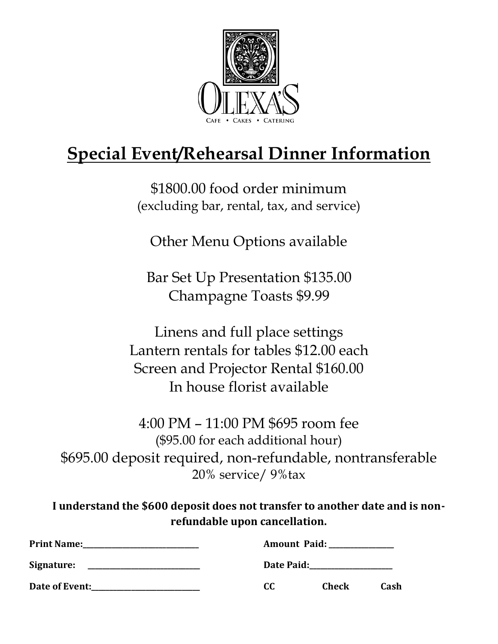

# **Special Event/Rehearsal Dinner Information**

\$1800.00 food order minimum (excluding bar, rental, tax, and service)

Other Menu Options available

Bar Set Up Presentation \$135.00 Champagne Toasts \$9.99

Linens and full place settings Lantern rentals for tables \$12.00 each Screen and Projector Rental \$160.00 In house florist available

4:00 PM – 11:00 PM \$695 room fee (\$95.00 for each additional hour) \$695.00 deposit required, non-refundable, nontransferable 20% service/ 9%tax

**I understand the \$600 deposit does not transfer to another date and is nonrefundable upon cancellation.**

| <b>Print Name:</b>     | Amount Paid: |       |      |  |  |  |  |
|------------------------|--------------|-------|------|--|--|--|--|
| Signature:             | Date Paid:   |       |      |  |  |  |  |
| <b>Date of Event:_</b> | CC           | Check | Cash |  |  |  |  |